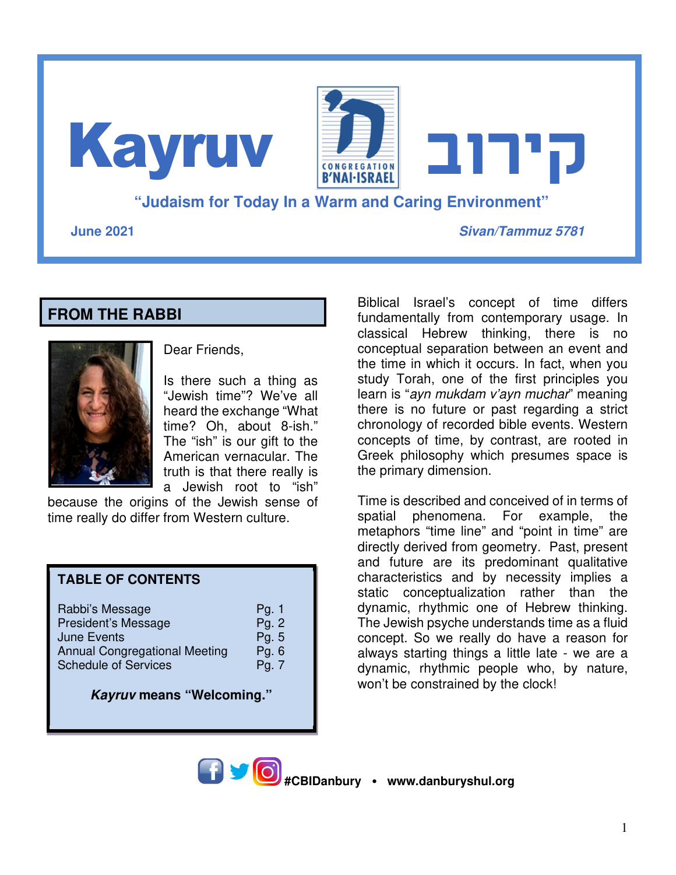**"Judaism for Today In a Warm and Caring Environment" June 2021 Sivan/Tammuz 5781 קירוב** Kayruv

#### **FROM THE RABBI**



Dear Friends,

Is there such a thing as "Jewish time"? We've all heard the exchange "What time? Oh, about 8-ish." The "ish" is our gift to the American vernacular. The truth is that there really is a Jewish root to "ish"

because the origins of the Jewish sense of time really do differ from Western culture.

#### **TABLE OF CONTENTS**

**Kayruv means "Welcoming."** 

Biblical Israel's concept of time differs fundamentally from contemporary usage. In classical Hebrew thinking, there is no conceptual separation between an event and the time in which it occurs. In fact, when you study Torah, one of the first principles you learn is "ayn mukdam v'ayn muchar" meaning there is no future or past regarding a strict chronology of recorded bible events. Western concepts of time, by contrast, are rooted in Greek philosophy which presumes space is the primary dimension.

Time is described and conceived of in terms of spatial phenomena. For example, the metaphors "time line" and "point in time" are directly derived from geometry. Past, present and future are its predominant qualitative characteristics and by necessity implies a static conceptualization rather than the dynamic, rhythmic one of Hebrew thinking. The Jewish psyche understands time as a fluid concept. So we really do have a reason for always starting things a little late - we are a dynamic, rhythmic people who, by nature, won't be constrained by the clock!

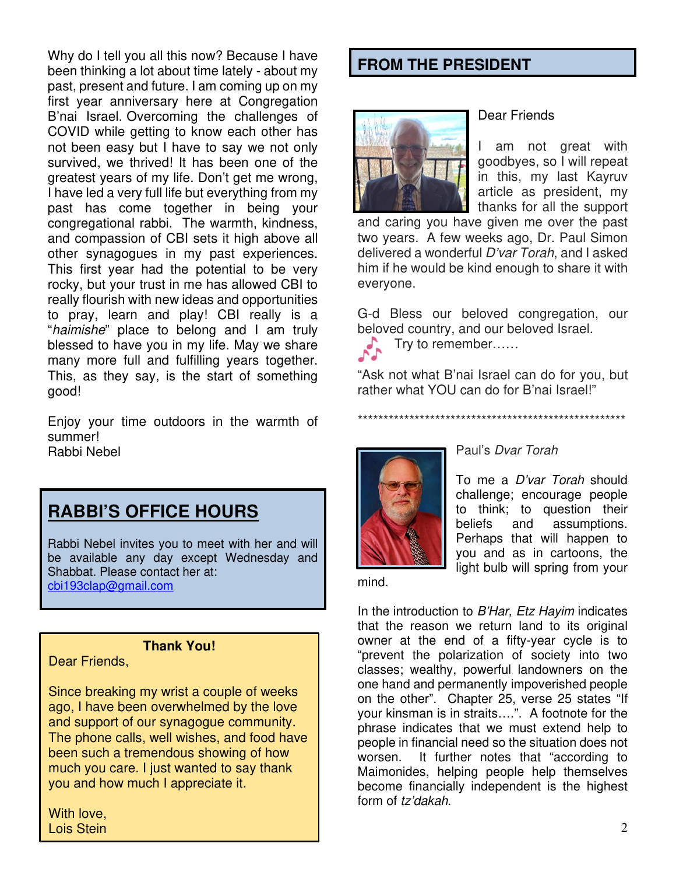Why do I tell you all this now? Because I have been thinking a lot about time lately - about my past, present and future. I am coming up on my first year anniversary here at Congregation B'nai Israel. Overcoming the challenges of COVID while getting to know each other has not been easy but I have to say we not only survived, we thrived! It has been one of the greatest years of my life. Don't get me wrong, I have led a very full life but everything from my past has come together in being your congregational rabbi. The warmth, kindness, and compassion of CBI sets it high above all other synagogues in my past experiences. This first year had the potential to be very rocky, but your trust in me has allowed CBI to really flourish with new ideas and opportunities to pray, learn and play! CBI really is a "haimishe" place to belong and I am truly blessed to have you in my life. May we share many more full and fulfilling years together. This, as they say, is the start of something good!

Enjoy your time outdoors in the warmth of summer! Rabbi Nebel



Rabbi Nebel invites you to meet with her and will be available any day except Wednesday and Shabbat. Please contact her at: cbi193clap@gmail.com

#### **Thank You!**

Dear Friends,

Since breaking my wrist a couple of weeks ago, I have been overwhelmed by the love and support of our synagogue community. The phone calls, well wishes, and food have been such a tremendous showing of how much you care. I just wanted to say thank you and how much I appreciate it.

With love, Lois Stein

#### **FROM THE PRESIDENT**



#### Dear Friends

I am not great with goodbyes, so I will repeat in this, my last Kayruv article as president, my thanks for all the support

and caring you have given me over the past two years. A few weeks ago, Dr. Paul Simon delivered a wonderful D'var Torah, and I asked him if he would be kind enough to share it with everyone.

G-d Bless our beloved congregation, our beloved country, and our beloved Israel.

 $\bullet$  Try to remember……

"Ask not what B'nai Israel can do for you, but rather what YOU can do for B'nai Israel!"



#### Paul's Dvar Torah

\*\*\*\*\*\*\*\*\*\*\*\*\*\*\*\*\*\*\*\*\*\*\*\*\*\*\*\*\*\*\*\*\*\*\*\*\*\*\*\*\*\*\*\*\*\*\*\*\*\*\*\*

To me a D'var Torah should challenge; encourage people to think; to question their beliefs and assumptions. Perhaps that will happen to you and as in cartoons, the light bulb will spring from your

mind.

In the introduction to B'Har, Etz Hayim indicates that the reason we return land to its original owner at the end of a fifty-year cycle is to "prevent the polarization of society into two classes; wealthy, powerful landowners on the one hand and permanently impoverished people on the other". Chapter 25, verse 25 states "If your kinsman is in straits….". A footnote for the phrase indicates that we must extend help to people in financial need so the situation does not worsen. It further notes that "according to Maimonides, helping people help themselves become financially independent is the highest form of tz'dakah.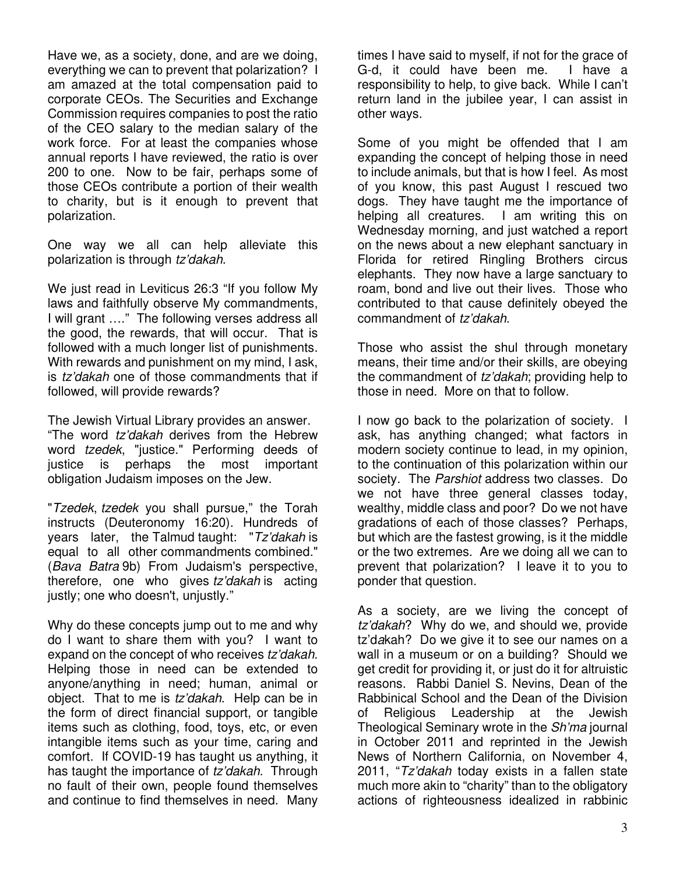Have we, as a society, done, and are we doing, everything we can to prevent that polarization? I am amazed at the total compensation paid to corporate CEOs. The Securities and Exchange Commission requires companies to post the ratio of the CEO salary to the median salary of the work force. For at least the companies whose annual reports I have reviewed, the ratio is over 200 to one. Now to be fair, perhaps some of those CEOs contribute a portion of their wealth to charity, but is it enough to prevent that polarization.

One way we all can help alleviate this polarization is through tz'dakah.

We just read in Leviticus 26:3 "If you follow My laws and faithfully observe My commandments, I will grant …." The following verses address all the good, the rewards, that will occur. That is followed with a much longer list of punishments. With rewards and punishment on my mind, I ask, is tz'dakah one of those commandments that if followed, will provide rewards?

The Jewish Virtual Library provides an answer. "The word tz'dakah derives from the Hebrew word tzedek, "justice." Performing deeds of justice is perhaps the most important obligation Judaism imposes on the Jew.

"Tzedek, tzedek you shall pursue," the Torah instructs (Deuteronomy 16:20). Hundreds of years later, the Talmud taught: "Tz'dakah is equal to all other commandments combined." (Bava Batra 9b) From Judaism's perspective, therefore, one who gives tz'dakah is acting justly; one who doesn't, unjustly."

Why do these concepts jump out to me and why do I want to share them with you? I want to expand on the concept of who receives tz'dakah. Helping those in need can be extended to anyone/anything in need; human, animal or object. That to me is tz'dakah. Help can be in the form of direct financial support, or tangible items such as clothing, food, toys, etc, or even intangible items such as your time, caring and comfort. If COVID-19 has taught us anything, it has taught the importance of tz'dakah. Through no fault of their own, people found themselves and continue to find themselves in need. Many

times I have said to myself, if not for the grace of G-d, it could have been me. I have a responsibility to help, to give back. While I can't return land in the jubilee year, I can assist in other ways.

Some of you might be offended that I am expanding the concept of helping those in need to include animals, but that is how I feel. As most of you know, this past August I rescued two dogs. They have taught me the importance of helping all creatures. I am writing this on Wednesday morning, and just watched a report on the news about a new elephant sanctuary in Florida for retired Ringling Brothers circus elephants. They now have a large sanctuary to roam, bond and live out their lives. Those who contributed to that cause definitely obeyed the commandment of tz'dakah.

Those who assist the shul through monetary means, their time and/or their skills, are obeying the commandment of tz'dakah; providing help to those in need. More on that to follow.

I now go back to the polarization of society. I ask, has anything changed; what factors in modern society continue to lead, in my opinion, to the continuation of this polarization within our society. The Parshiot address two classes. Do we not have three general classes today, wealthy, middle class and poor? Do we not have gradations of each of those classes? Perhaps, but which are the fastest growing, is it the middle or the two extremes. Are we doing all we can to prevent that polarization? I leave it to you to ponder that question.

As a society, are we living the concept of tz'dakah? Why do we, and should we, provide tz'dakah? Do we give it to see our names on a wall in a museum or on a building? Should we get credit for providing it, or just do it for altruistic reasons. Rabbi Daniel S. Nevins, Dean of the Rabbinical School and the Dean of the Division of Religious Leadership at the Jewish Theological Seminary wrote in the Sh'ma journal in October 2011 and reprinted in the Jewish News of Northern California, on November 4, 2011, "Tz'dakah today exists in a fallen state much more akin to "charity" than to the obligatory actions of righteousness idealized in rabbinic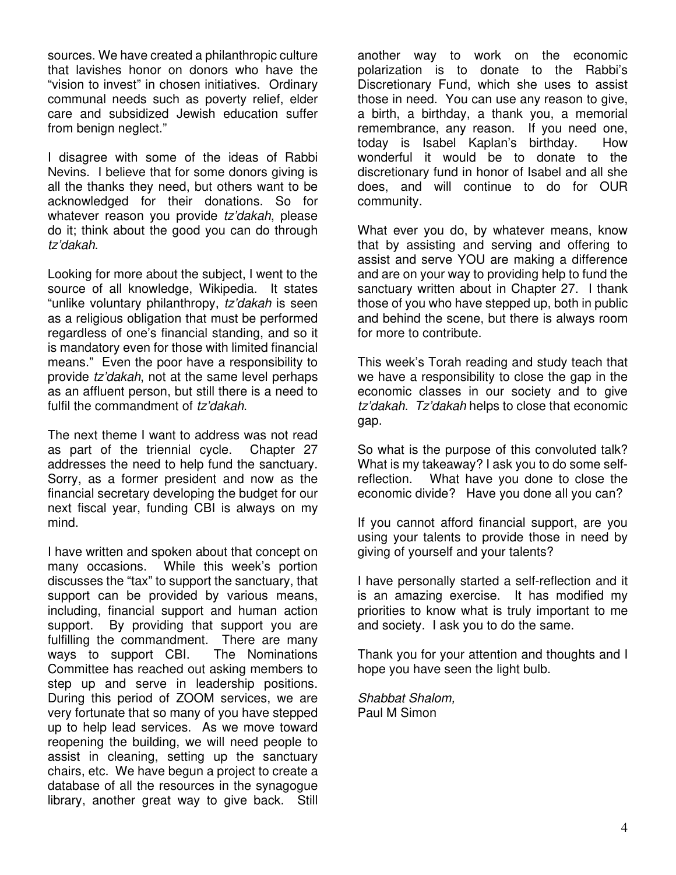sources. We have created a philanthropic culture that lavishes honor on donors who have the "vision to invest" in chosen initiatives. Ordinary communal needs such as poverty relief, elder care and subsidized Jewish education suffer from benign neglect."

I disagree with some of the ideas of Rabbi Nevins. I believe that for some donors giving is all the thanks they need, but others want to be acknowledged for their donations. So for whatever reason you provide tz'dakah, please do it; think about the good you can do through tz'dakah.

Looking for more about the subject, I went to the source of all knowledge, Wikipedia. It states "unlike voluntary philanthropy, tz'dakah is seen as a religious obligation that must be performed regardless of one's financial standing, and so it is mandatory even for those with limited financial means." Even the poor have a responsibility to provide tz'dakah, not at the same level perhaps as an affluent person, but still there is a need to fulfil the commandment of tz'dakah.

The next theme I want to address was not read as part of the triennial cycle. Chapter 27 addresses the need to help fund the sanctuary. Sorry, as a former president and now as the financial secretary developing the budget for our next fiscal year, funding CBI is always on my mind.

I have written and spoken about that concept on many occasions. While this week's portion discusses the "tax" to support the sanctuary, that support can be provided by various means, including, financial support and human action support. By providing that support you are fulfilling the commandment. There are many ways to support CBI. The Nominations Committee has reached out asking members to step up and serve in leadership positions. During this period of ZOOM services, we are very fortunate that so many of you have stepped up to help lead services. As we move toward reopening the building, we will need people to assist in cleaning, setting up the sanctuary chairs, etc. We have begun a project to create a database of all the resources in the synagogue library, another great way to give back. Still

another way to work on the economic polarization is to donate to the Rabbi's Discretionary Fund, which she uses to assist those in need. You can use any reason to give, a birth, a birthday, a thank you, a memorial remembrance, any reason. If you need one, today is Isabel Kaplan's birthday. How wonderful it would be to donate to the discretionary fund in honor of Isabel and all she does, and will continue to do for OUR community.

What ever you do, by whatever means, know that by assisting and serving and offering to assist and serve YOU are making a difference and are on your way to providing help to fund the sanctuary written about in Chapter 27. I thank those of you who have stepped up, both in public and behind the scene, but there is always room for more to contribute.

This week's Torah reading and study teach that we have a responsibility to close the gap in the economic classes in our society and to give tz'dakah. Tz'dakah helps to close that economic gap.

So what is the purpose of this convoluted talk? What is my takeaway? I ask you to do some selfreflection. What have you done to close the economic divide? Have you done all you can?

If you cannot afford financial support, are you using your talents to provide those in need by giving of yourself and your talents?

I have personally started a self-reflection and it is an amazing exercise. It has modified my priorities to know what is truly important to me and society. I ask you to do the same.

Thank you for your attention and thoughts and I hope you have seen the light bulb.

Shabbat Shalom, Paul M Simon